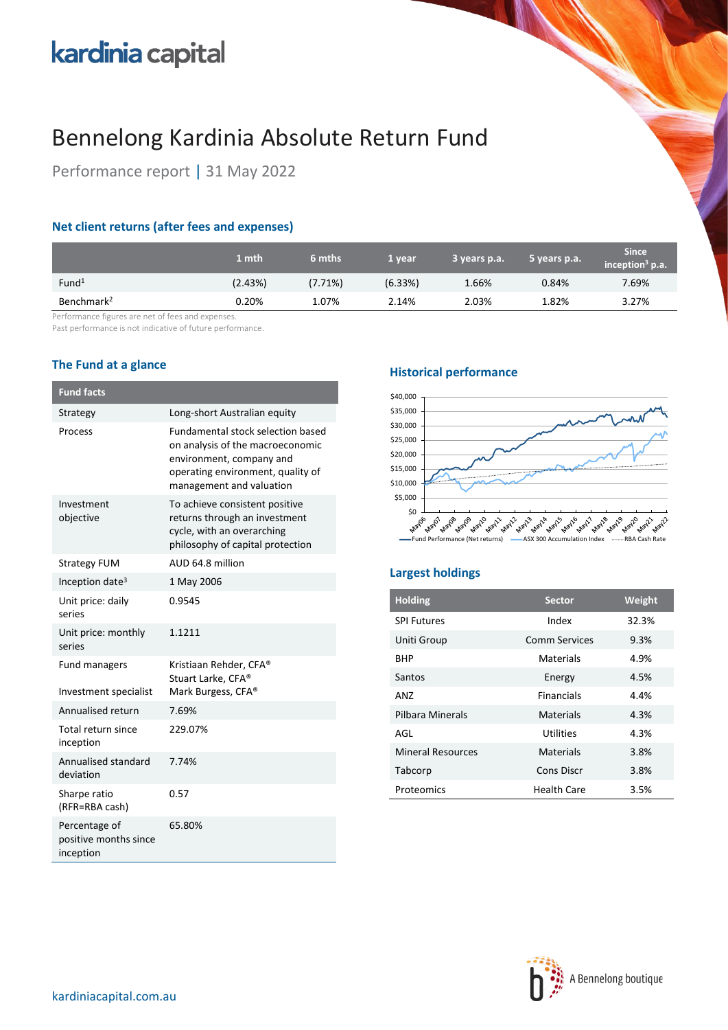# kardinia capital

## Bennelong Kardinia Absolute Return Fund

Performance report | 31 May 2022

## **Net client returns (after fees and expenses)**

|                        | 1 mth   | 6 mths  | 1 year  | 3 years p.a. | 5 years p.a. | <b>Since</b><br>inception <sup>3</sup> p.a. |
|------------------------|---------|---------|---------|--------------|--------------|---------------------------------------------|
| Fund <sup>1</sup>      | (2.43%) | (7.71%) | (6.33%) | 1.66%        | 0.84%        | 7.69%                                       |
| Benchmark <sup>2</sup> | 0.20%   | 1.07%   | 2.14%   | 2.03%        | 1.82%        | 3.27%                                       |

Performance figures are net of fees and expenses.

Past performance is not indicative of future performance.

## **The Fund at a glance**

| <b>Fund facts</b>                                   |                                                                                                                                                                           |
|-----------------------------------------------------|---------------------------------------------------------------------------------------------------------------------------------------------------------------------------|
| Strategy                                            | Long-short Australian equity                                                                                                                                              |
| Process                                             | <b>Fundamental stock selection based</b><br>on analysis of the macroeconomic<br>environment, company and<br>operating environment, quality of<br>management and valuation |
| Investment<br>objective                             | To achieve consistent positive<br>returns through an investment<br>cycle, with an overarching<br>philosophy of capital protection                                         |
| <b>Strategy FUM</b>                                 | AUD 64.8 million                                                                                                                                                          |
| Inception date <sup>3</sup>                         | 1 May 2006                                                                                                                                                                |
| Unit price: daily<br>series                         | 0.9545                                                                                                                                                                    |
| Unit price: monthly<br>series                       | 1.1211                                                                                                                                                                    |
| <b>Fund managers</b><br>Investment specialist       | Kristiaan Rehder, CFA®<br>Stuart Larke, CFA®<br>Mark Burgess, CFA <sup>®</sup>                                                                                            |
| Annualised return                                   | 7.69%                                                                                                                                                                     |
| Total return since<br>inception                     | 229.07%                                                                                                                                                                   |
| Annualised standard<br>deviation                    | 7.74%                                                                                                                                                                     |
| Sharpe ratio<br>(RFR=RBA cash)                      | 0.57                                                                                                                                                                      |
| Percentage of<br>positive months since<br>inception | 65.80%                                                                                                                                                                    |

### **Historical performance**



## **Largest holdings**

| <b>Holding</b>           | <b>Sector</b>        | Weight |
|--------------------------|----------------------|--------|
| <b>SPI Futures</b>       | Index                | 32.3%  |
| Uniti Group              | <b>Comm Services</b> | 9.3%   |
| <b>BHP</b>               | Materials            | 4.9%   |
| Santos                   | Energy               | 4.5%   |
| AN7                      | <b>Financials</b>    | 4.4%   |
| Pilbara Minerals         | Materials            | 4.3%   |
| AGI                      | Utilities            | 4.3%   |
| <b>Mineral Resources</b> | Materials            | 3.8%   |
| Tabcorp                  | <b>Cons Discr</b>    | 3.8%   |
| Proteomics               | <b>Health Care</b>   | 3.5%   |

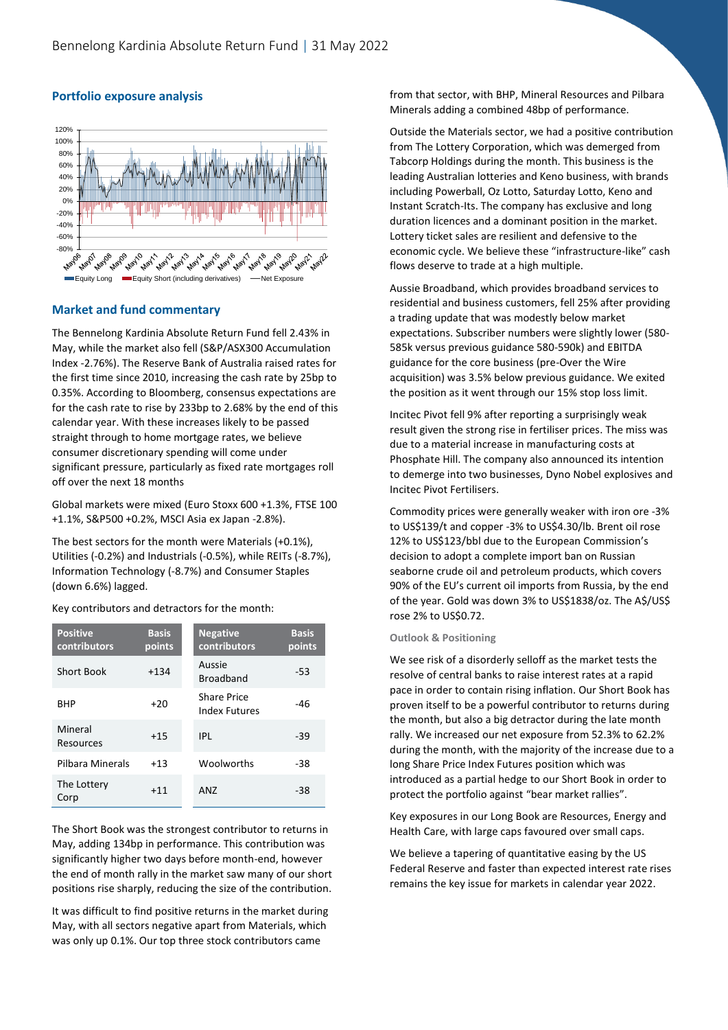

### **Portfolio exposure analysis**

#### **Market and fund commentary**

The Bennelong Kardinia Absolute Return Fund fell 2.43% in May, while the market also fell (S&P/ASX300 Accumulation Index -2.76%). The Reserve Bank of Australia raised rates for the first time since 2010, increasing the cash rate by 25bp to 0.35%. According to Bloomberg, consensus expectations are for the cash rate to rise by 233bp to 2.68% by the end of this calendar year. With these increases likely to be passed straight through to home mortgage rates, we believe consumer discretionary spending will come under significant pressure, particularly as fixed rate mortgages roll off over the next 18 months

Global markets were mixed (Euro Stoxx 600 +1.3%, FTSE 100 +1.1%, S&P500 +0.2%, MSCI Asia ex Japan -2.8%).

The best sectors for the month were Materials (+0.1%), Utilities (-0.2%) and Industrials (-0.5%), while REITs (-8.7%), Information Technology (-8.7%) and Consumer Staples (down 6.6%) lagged.

Key contributors and detractors for the month:

| <b>Positive</b><br>contributors | <b>Basis</b><br>points | <b>Negative</b><br>contributors     | <b>Basis</b><br>points |
|---------------------------------|------------------------|-------------------------------------|------------------------|
| Short Book                      | $+134$                 | Aussie<br><b>Broadband</b>          | $-53$                  |
| <b>BHP</b>                      | $+20$                  | <b>Share Price</b><br>Index Futures | -46                    |
| Mineral<br>Resources            | $+15$                  | IPI                                 | $-39$                  |
| Pilbara Minerals                | $+13$                  | Woolworths                          | $-38$                  |
| The Lottery<br>Corp             | $+11$                  | ANZ                                 | -38                    |

The Short Book was the strongest contributor to returns in May, adding 134bp in performance. This contribution was significantly higher two days before month-end, however the end of month rally in the market saw many of our short positions rise sharply, reducing the size of the contribution.

It was difficult to find positive returns in the market during May, with all sectors negative apart from Materials, which was only up 0.1%. Our top three stock contributors came

from that sector, with BHP, Mineral Resources and Pilbara Minerals adding a combined 48bp of performance.

Outside the Materials sector, we had a positive contribution from The Lottery Corporation, which was demerged from Tabcorp Holdings during the month. This business is the leading Australian lotteries and Keno business, with brands including Powerball, Oz Lotto, Saturday Lotto, Keno and Instant Scratch-Its. The company has exclusive and long duration licences and a dominant position in the market. Lottery ticket sales are resilient and defensive to the economic cycle. We believe these "infrastructure-like" cash flows deserve to trade at a high multiple.

Aussie Broadband, which provides broadband services to residential and business customers, fell 25% after providing a trading update that was modestly below market expectations. Subscriber numbers were slightly lower (580- 585k versus previous guidance 580-590k) and EBITDA guidance for the core business (pre-Over the Wire acquisition) was 3.5% below previous guidance. We exited the position as it went through our 15% stop loss limit.

Incitec Pivot fell 9% after reporting a surprisingly weak result given the strong rise in fertiliser prices. The miss was due to a material increase in manufacturing costs at Phosphate Hill. The company also announced its intention to demerge into two businesses, Dyno Nobel explosives and Incitec Pivot Fertilisers.

Commodity prices were generally weaker with iron ore -3% to US\$139/t and copper -3% to US\$4.30/lb. Brent oil rose 12% to US\$123/bbl due to the European Commission's decision to adopt a complete import ban on Russian seaborne crude oil and petroleum products, which covers 90% of the EU's current oil imports from Russia, by the end of the year. Gold was down 3% to US\$1838/oz. The A\$/US\$ rose 2% to US\$0.72.

#### **Outlook & Positioning**

We see risk of a disorderly selloff as the market tests the resolve of central banks to raise interest rates at a rapid pace in order to contain rising inflation. Our Short Book has proven itself to be a powerful contributor to returns during the month, but also a big detractor during the late month rally. We increased our net exposure from 52.3% to 62.2% during the month, with the majority of the increase due to a long Share Price Index Futures position which was introduced as a partial hedge to our Short Book in order to protect the portfolio against "bear market rallies".

Key exposures in our Long Book are Resources, Energy and Health Care, with large caps favoured over small caps.

We believe a tapering of quantitative easing by the US Federal Reserve and faster than expected interest rate rises remains the key issue for markets in calendar year 2022.